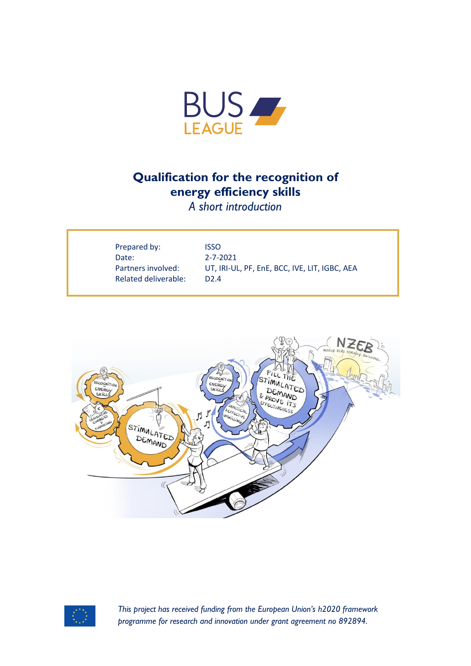

## **Qualification for the recognition of energy efficiency skills**

*A short introduction*

| Prepared by:         | ISSO                                          |
|----------------------|-----------------------------------------------|
| Date:                | $2 - 7 - 2021$                                |
| Partners involved:   | UT, IRI-UL, PF, EnE, BCC, IVE, LIT, IGBC, AEA |
| Related deliverable: | D2.4                                          |
|                      |                                               |





*This project has received funding from the European Union's h2020 framework programme for research and innovation under grant agreement no 892894.*